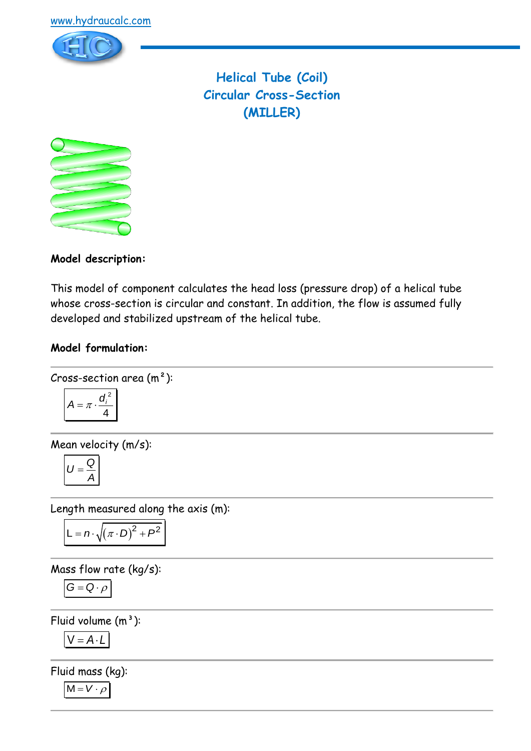

**Helical Tube (Coil) Circular Cross-Section (MILLER)**



**Model description:**

This model of component calculates the head loss (pressure drop) of a helical tube whose cross-section is circular and constant. In addition, the flow is assumed fully developed and stabilized upstream of the helical tube.

# **Model formulation:**

Cross-section area (m<sup>2</sup>):  

$$
A = \pi \cdot \frac{d_i^2}{4}
$$

Mean velocity (m/s):

$$
U=\frac{Q}{A}
$$

Length measured along the axis (m):

$$
L = n \cdot \sqrt{(\pi \cdot D)^2 + P^2}
$$

Mass flow rate (kg/s):

$$
G=Q\cdot \rho
$$

Fluid volume  $(m<sup>3</sup>)$ :

 $V = A \cdot L$ 

Fluid mass (kg):

$$
M = V \cdot \rho
$$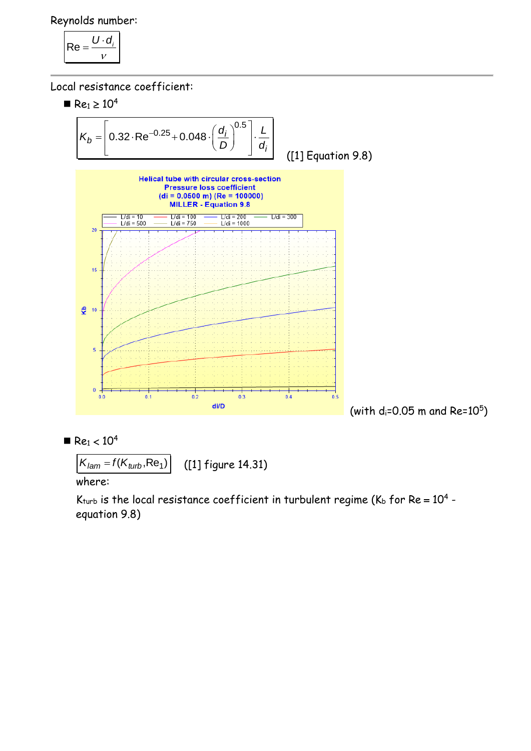Reynolds number:

$$
\mathsf{Re} = \frac{U \cdot d_i}{v}
$$

Local resistance coefficient:





$$
K_{lam} = f(K_{turb}, \text{Re}_1)
$$
 ([1] figure 14.31)

where:

K $_{\rm turb}$  is the local resistance coefficient in turbulent regime (K $_{\rm b}$  for Re =  $10^4$  equation 9.8)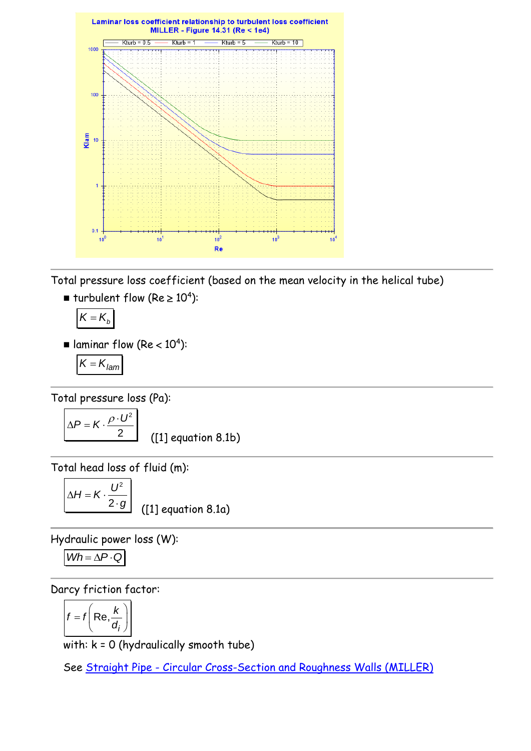

Total pressure loss coefficient (based on the mean velocity in the helical tube)

 $\blacksquare$  turbulent flow (Re  $\geq 10^4$ ):

$$
K=K_{b}
$$

 $\blacksquare$  laminar flow (Re < 10<sup>4</sup>):

$$
K=K_{lam}
$$

Total pressure loss (Pa):

$$
\Delta P = K \cdot \frac{\rho \cdot U^2}{2}
$$
 (1) equation 8.1b)

Total head loss of fluid (m):  $\Gamma$ 

$$
\Delta H = K \cdot \frac{U^2}{2 \cdot g}
$$

([1] equation 8.1a)

Hydraulic power loss (W):

$$
Wh = \Delta P \cdot Q
$$

Darcy friction factor:

$$
f = f\left(\text{Re}, \frac{k}{d_i}\right)
$$

with: k = 0 (hydraulically smooth tube)

See Straight Pipe - [Circular Cross-Section and Roughness Walls \(MILLER\)](../../Tuyau%20rectiligne/Tuyau%20rectiligne%20-%20Section%20circulaire/MILLER%20(roughness%20walls).htm)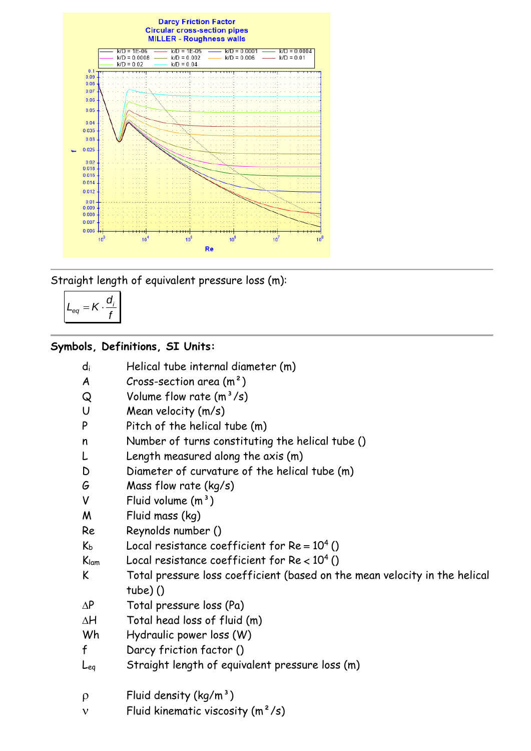

Straight length of equivalent pressure loss (m):

$$
L_{eq} = K \cdot \frac{d_i}{f}
$$

# **Symbols, Definitions, SI Units:**

| $d_i$ |  |  |  | Helical tube internal diameter (m) |  |  |
|-------|--|--|--|------------------------------------|--|--|
|-------|--|--|--|------------------------------------|--|--|

- $A$  Cross-section area  $(m<sup>2</sup>)$
- $Q$  Volume flow rate  $(m^3/s)$
- U Mean velocity (m/s)
- P Pitch of the helical tube (m)
- n Number of turns constituting the helical tube ()
- L Length measured along the axis (m)
- D Diameter of curvature of the helical tube (m)
- G Mass flow rate (kg/s)
- $V$  Fluid volume  $(m<sup>3</sup>)$
- M Fluid mass (kg)
- Re Reynolds number ()
- $K_b$  Local resistance coefficient for  $Re = 10^4$  ()
- $K_{lam}$  Local resistance coefficient for  $Re < 10^4$  ()
- K Total pressure loss coefficient (based on the mean velocity in the helical tube) ()
- $\Delta P$  Total pressure loss (Pa)
- $AH$  Total head loss of fluid  $(m)$
- Wh Hydraulic power loss (W)
- f Darcy friction factor ()
- Leq Straight length of equivalent pressure loss (m)
- $\rho$  Fluid density (kg/m<sup>3</sup>)
- $v$  Fluid kinematic viscosity  $(m^2/s)$